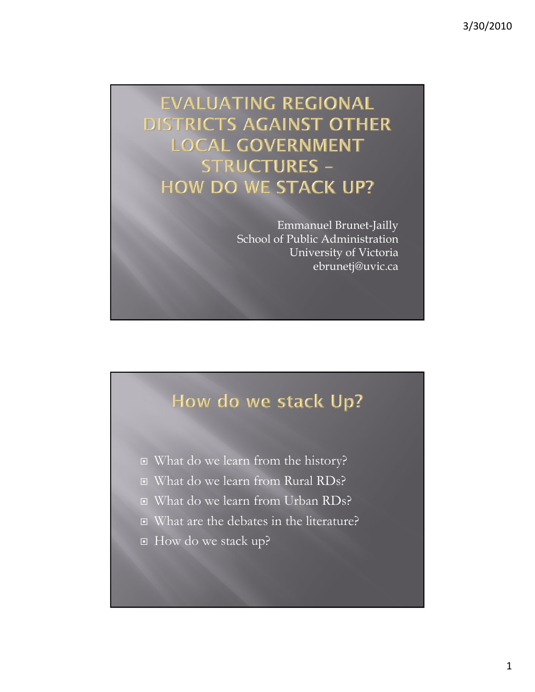**EVALUATING REGIONAL DISTRICTS AGAINST OTHER LOCAL GOVERNMENT STRUCTURES -HOW DO WE STACK UP?** 

> Emmanuel Brunet-Jailly School of Public Administration University of Victoria ebrunetj@uvic.ca

# How do we stack Up?

- What do we learn from the history?
- □ What do we learn from Rural RDs?
- What do we learn from Urban RDs?
- What are the debates in the literature?
- How do we stack up?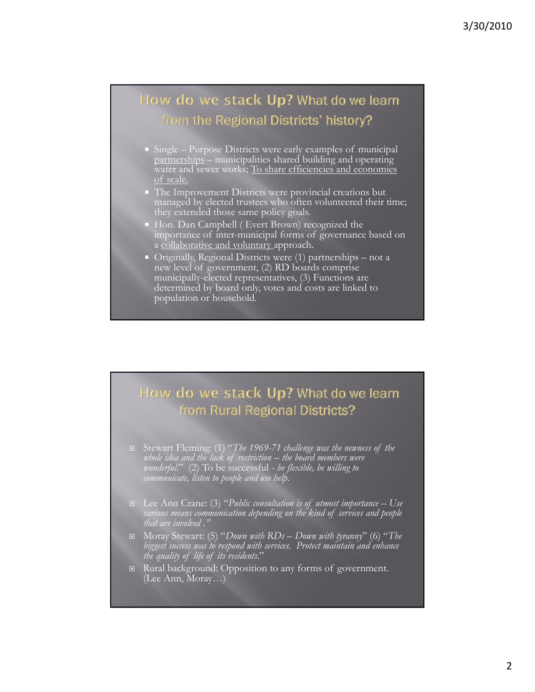# How do we stack Up? What do we learn from the Regional Districts' history?

- Single Purpose Districts were early examples of municipal partnerships – municipalities shared building and operating water and sewer works; To share efficiencies and economies of scale.
- The Improvement Districts were provincial creations but managed by elected trustees who often volunteered their time; they extended those same policy goals.
- Hon. Dan Campbell ( Evert Brown) recognized the importance of inter-municipal forms of governance based on a collaborative and voluntary approach.
- Originally, Regional Districts were (1) partnerships not a new level of government, (2) RD boards comprise municipally-elected representatives, (3) Functions are determined by board only, votes and costs are linked to population or household.

#### How do we stack Up? What do we learn from Rural Regional Districts?

- Stewart Fleming: (1) Stewart Fleming: "*The 1969 The 1969-71 challenge was the newness of the 71 challenge was the newness of whole idea and the lack of restriction – the board members were wonderful*." (2) To be successful - *be flexible, be willing to communicate, listen to people and use help*.
- Lee Ann Crane: (3) "*Public consultation is of utmost importance Use various means communication depending on the kind of services and people that are involved ."*
- Moray Stewart: (5) "*Down with RDs Down with tyranny*" (6) "*The biggest success was to respond with services. Protect maintain and enhance the quality of life of its residents*."
- Rural background: Opposition to any forms of government. (Lee Ann, Moray…)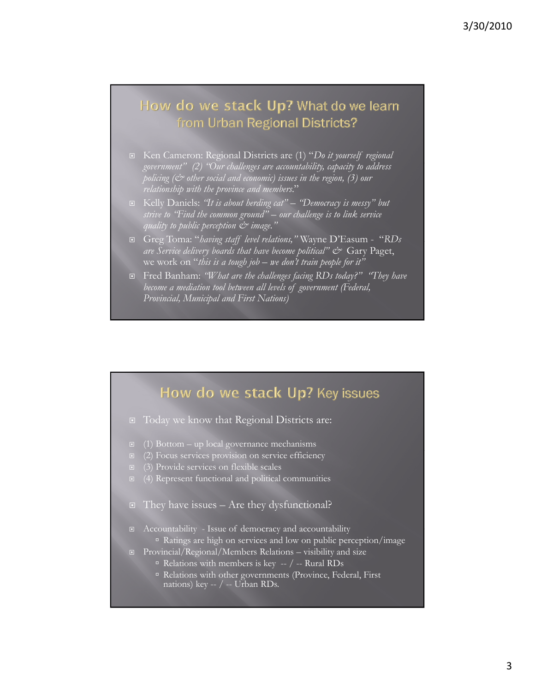#### How do we stack Up? What do we learn from Urban Regional Districts?

- Ken Cameron: Regional Districts are (1) "*Do it yourself regional government" ( ) "O h ll b l dd " (2) "Our challenges are accountability, capacity to address policing (& other social and economic) issues in the region, (3) our relationship with the province and members*."
- Kelly Daniels: *"It is about herding cat" "Democracy is messy" but strive to "Find the common ground" – our challenge is to link service quality to public perception & image."*
- Greg Toma: "*having staff level relations, having staff level relations,"* Wayne D Easum ' "*RDs are Service delivery boards that have become political" &* Gary Paget, we work on "*this is a tough job – we don't train people for it"*
- Fred Banham: *"What are the challenges facing RDs today?" "They have become a mediation tool between all levels of government (Federal, Provincial, Municipal and First Nations)*

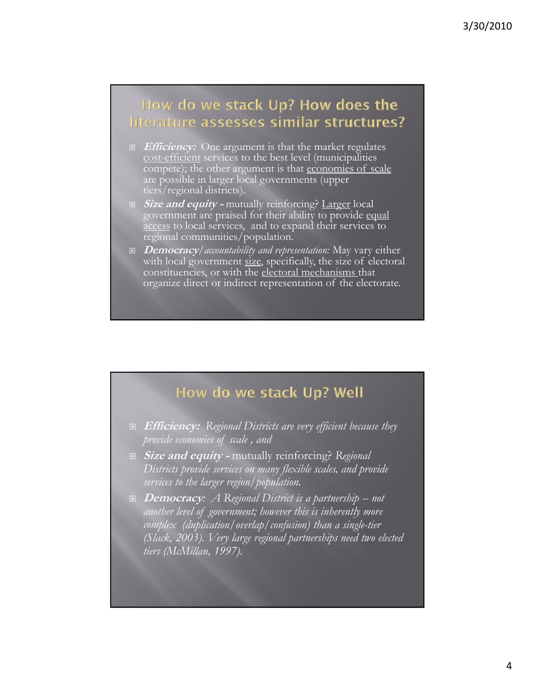## How do we stack Up? How does the literature assesses similar structures?

- **Efficiency:** One argument is that the market regulates cost-efficient services to the best level (municipalities compete); the other argument is that economies of scale are possible in larger local governments (upper tiers/regional districts).
- **Size and equity -** mutually reinforcing? Larger local government are praised for their ability to provide equal access to local services, and to expand their services to regional communities/population.
- **Democracy***/accountability and representation:* May vary either with local government size, specifically, the size of electoral constituencies, or with the electoral mechanisms that organize direct or indirect representation of the electorate.